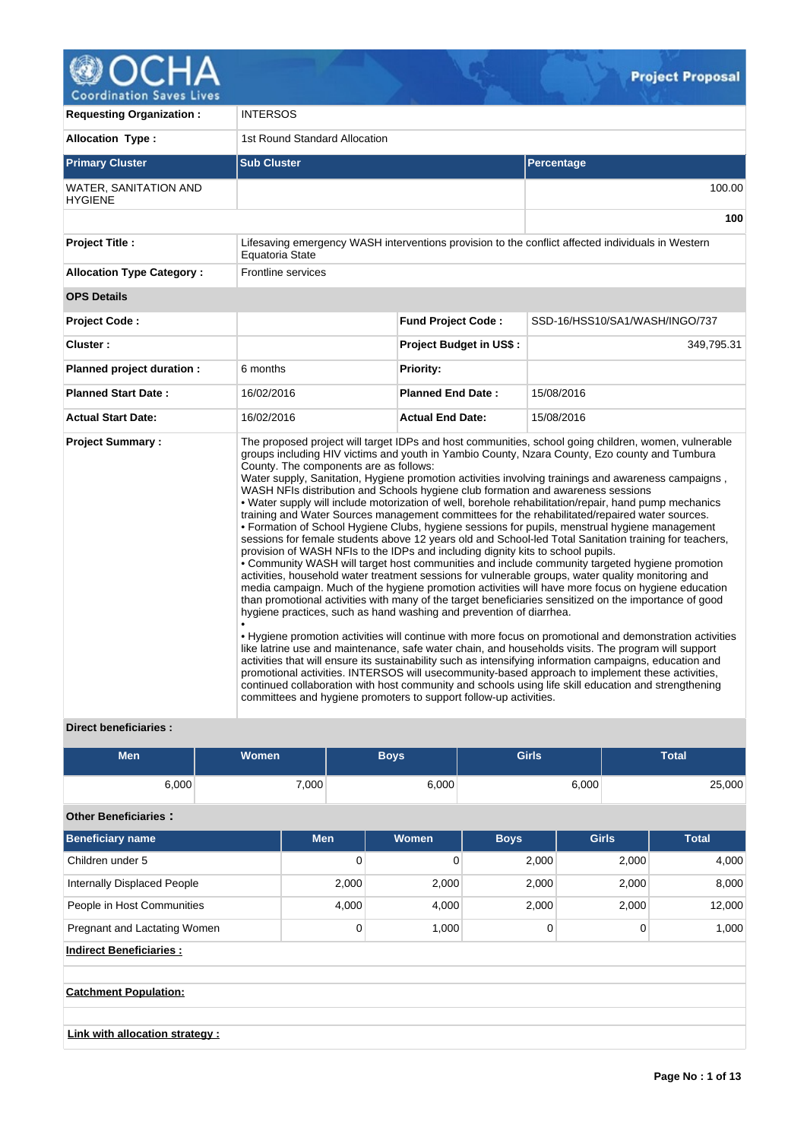

| <b>Requesting Organization:</b>         | <b>INTERSOS</b>                                                                                                                                                                                                                                                                                                                                           |                                |                                                                                                                                                                                                                                                                                                                                                                                                                                                                                                                                                                                                                                                                                                                                                                                                                                                                                                                                                                                                                                                                                                                                                                                                                                                                                                                                                                                                                                                                                                                                                                                                                                                                                                        |  |  |  |  |  |
|-----------------------------------------|-----------------------------------------------------------------------------------------------------------------------------------------------------------------------------------------------------------------------------------------------------------------------------------------------------------------------------------------------------------|--------------------------------|--------------------------------------------------------------------------------------------------------------------------------------------------------------------------------------------------------------------------------------------------------------------------------------------------------------------------------------------------------------------------------------------------------------------------------------------------------------------------------------------------------------------------------------------------------------------------------------------------------------------------------------------------------------------------------------------------------------------------------------------------------------------------------------------------------------------------------------------------------------------------------------------------------------------------------------------------------------------------------------------------------------------------------------------------------------------------------------------------------------------------------------------------------------------------------------------------------------------------------------------------------------------------------------------------------------------------------------------------------------------------------------------------------------------------------------------------------------------------------------------------------------------------------------------------------------------------------------------------------------------------------------------------------------------------------------------------------|--|--|--|--|--|
| <b>Allocation Type:</b>                 | 1st Round Standard Allocation                                                                                                                                                                                                                                                                                                                             |                                |                                                                                                                                                                                                                                                                                                                                                                                                                                                                                                                                                                                                                                                                                                                                                                                                                                                                                                                                                                                                                                                                                                                                                                                                                                                                                                                                                                                                                                                                                                                                                                                                                                                                                                        |  |  |  |  |  |
| <b>Primary Cluster</b>                  | <b>Sub Cluster</b>                                                                                                                                                                                                                                                                                                                                        |                                | Percentage                                                                                                                                                                                                                                                                                                                                                                                                                                                                                                                                                                                                                                                                                                                                                                                                                                                                                                                                                                                                                                                                                                                                                                                                                                                                                                                                                                                                                                                                                                                                                                                                                                                                                             |  |  |  |  |  |
| WATER, SANITATION AND<br><b>HYGIENE</b> |                                                                                                                                                                                                                                                                                                                                                           |                                | 100.00                                                                                                                                                                                                                                                                                                                                                                                                                                                                                                                                                                                                                                                                                                                                                                                                                                                                                                                                                                                                                                                                                                                                                                                                                                                                                                                                                                                                                                                                                                                                                                                                                                                                                                 |  |  |  |  |  |
|                                         |                                                                                                                                                                                                                                                                                                                                                           |                                | 100                                                                                                                                                                                                                                                                                                                                                                                                                                                                                                                                                                                                                                                                                                                                                                                                                                                                                                                                                                                                                                                                                                                                                                                                                                                                                                                                                                                                                                                                                                                                                                                                                                                                                                    |  |  |  |  |  |
| <b>Project Title:</b>                   | Equatoria State                                                                                                                                                                                                                                                                                                                                           |                                | Lifesaving emergency WASH interventions provision to the conflict affected individuals in Western                                                                                                                                                                                                                                                                                                                                                                                                                                                                                                                                                                                                                                                                                                                                                                                                                                                                                                                                                                                                                                                                                                                                                                                                                                                                                                                                                                                                                                                                                                                                                                                                      |  |  |  |  |  |
| <b>Allocation Type Category:</b>        | Frontline services                                                                                                                                                                                                                                                                                                                                        |                                |                                                                                                                                                                                                                                                                                                                                                                                                                                                                                                                                                                                                                                                                                                                                                                                                                                                                                                                                                                                                                                                                                                                                                                                                                                                                                                                                                                                                                                                                                                                                                                                                                                                                                                        |  |  |  |  |  |
| <b>OPS Details</b>                      |                                                                                                                                                                                                                                                                                                                                                           |                                |                                                                                                                                                                                                                                                                                                                                                                                                                                                                                                                                                                                                                                                                                                                                                                                                                                                                                                                                                                                                                                                                                                                                                                                                                                                                                                                                                                                                                                                                                                                                                                                                                                                                                                        |  |  |  |  |  |
| <b>Project Code:</b>                    |                                                                                                                                                                                                                                                                                                                                                           | <b>Fund Project Code:</b>      | SSD-16/HSS10/SA1/WASH/INGO/737                                                                                                                                                                                                                                                                                                                                                                                                                                                                                                                                                                                                                                                                                                                                                                                                                                                                                                                                                                                                                                                                                                                                                                                                                                                                                                                                                                                                                                                                                                                                                                                                                                                                         |  |  |  |  |  |
| Cluster:                                |                                                                                                                                                                                                                                                                                                                                                           | <b>Project Budget in US\$:</b> | 349,795.31                                                                                                                                                                                                                                                                                                                                                                                                                                                                                                                                                                                                                                                                                                                                                                                                                                                                                                                                                                                                                                                                                                                                                                                                                                                                                                                                                                                                                                                                                                                                                                                                                                                                                             |  |  |  |  |  |
| Planned project duration :              | 6 months                                                                                                                                                                                                                                                                                                                                                  | <b>Priority:</b>               |                                                                                                                                                                                                                                                                                                                                                                                                                                                                                                                                                                                                                                                                                                                                                                                                                                                                                                                                                                                                                                                                                                                                                                                                                                                                                                                                                                                                                                                                                                                                                                                                                                                                                                        |  |  |  |  |  |
| <b>Planned Start Date:</b>              | 16/02/2016                                                                                                                                                                                                                                                                                                                                                | <b>Planned End Date:</b>       | 15/08/2016                                                                                                                                                                                                                                                                                                                                                                                                                                                                                                                                                                                                                                                                                                                                                                                                                                                                                                                                                                                                                                                                                                                                                                                                                                                                                                                                                                                                                                                                                                                                                                                                                                                                                             |  |  |  |  |  |
| <b>Actual Start Date:</b>               | 16/02/2016                                                                                                                                                                                                                                                                                                                                                | <b>Actual End Date:</b>        | 15/08/2016                                                                                                                                                                                                                                                                                                                                                                                                                                                                                                                                                                                                                                                                                                                                                                                                                                                                                                                                                                                                                                                                                                                                                                                                                                                                                                                                                                                                                                                                                                                                                                                                                                                                                             |  |  |  |  |  |
| <b>Project Summary:</b>                 | County. The components are as follows:<br>WASH NFIs distribution and Schools hygiene club formation and awareness sessions<br>provision of WASH NFIs to the IDPs and including dignity kits to school pupils.<br>hygiene practices, such as hand washing and prevention of diarrhea.<br>committees and hygiene promoters to support follow-up activities. |                                | The proposed project will target IDPs and host communities, school going children, women, vulnerable<br>groups including HIV victims and youth in Yambio County, Nzara County, Ezo county and Tumbura<br>Water supply, Sanitation, Hygiene promotion activities involving trainings and awareness campaigns,<br>• Water supply will include motorization of well, borehole rehabilitation/repair, hand pump mechanics<br>training and Water Sources management committees for the rehabilitated/repaired water sources.<br>• Formation of School Hygiene Clubs, hygiene sessions for pupils, menstrual hygiene management<br>sessions for female students above 12 years old and School-led Total Sanitation training for teachers,<br>• Community WASH will target host communities and include community targeted hygiene promotion<br>activities, household water treatment sessions for vulnerable groups, water quality monitoring and<br>media campaign. Much of the hygiene promotion activities will have more focus on hygiene education<br>than promotional activities with many of the target beneficiaries sensitized on the importance of good<br>. Hygiene promotion activities will continue with more focus on promotional and demonstration activities<br>like latrine use and maintenance, safe water chain, and households visits. The program will support<br>activities that will ensure its sustainability such as intensifying information campaigns, education and<br>promotional activities. INTERSOS will usecommunity-based approach to implement these activities,<br>continued collaboration with host community and schools using life skill education and strengthening |  |  |  |  |  |

# **Direct beneficiaries :**

| <b>Men</b> | <b>Women</b> | Boys  | <b>Girls</b> | Total  |
|------------|--------------|-------|--------------|--------|
| 6,000      | 7,000        | 6,000 | 6,000        | 25,000 |

# **Other Beneficiaries :**

| Beneficiary name             | <b>Men</b> | Women | <b>Boys</b> | <b>Girls</b> | <b>Total</b> |
|------------------------------|------------|-------|-------------|--------------|--------------|
| Children under 5             | 0          |       | 2,000       | 2.000        | 4,000        |
| Internally Displaced People  | 2,000      | 2,000 | 2,000       | 2.000        | 8,000        |
| People in Host Communities   | 4.000      | 4,000 | 2,000       | 2,000        | 12,000       |
| Pregnant and Lactating Women | 0          | 1.000 |             | 0            | 1,000        |

**Indirect Beneficiaries :**

**Catchment Population:**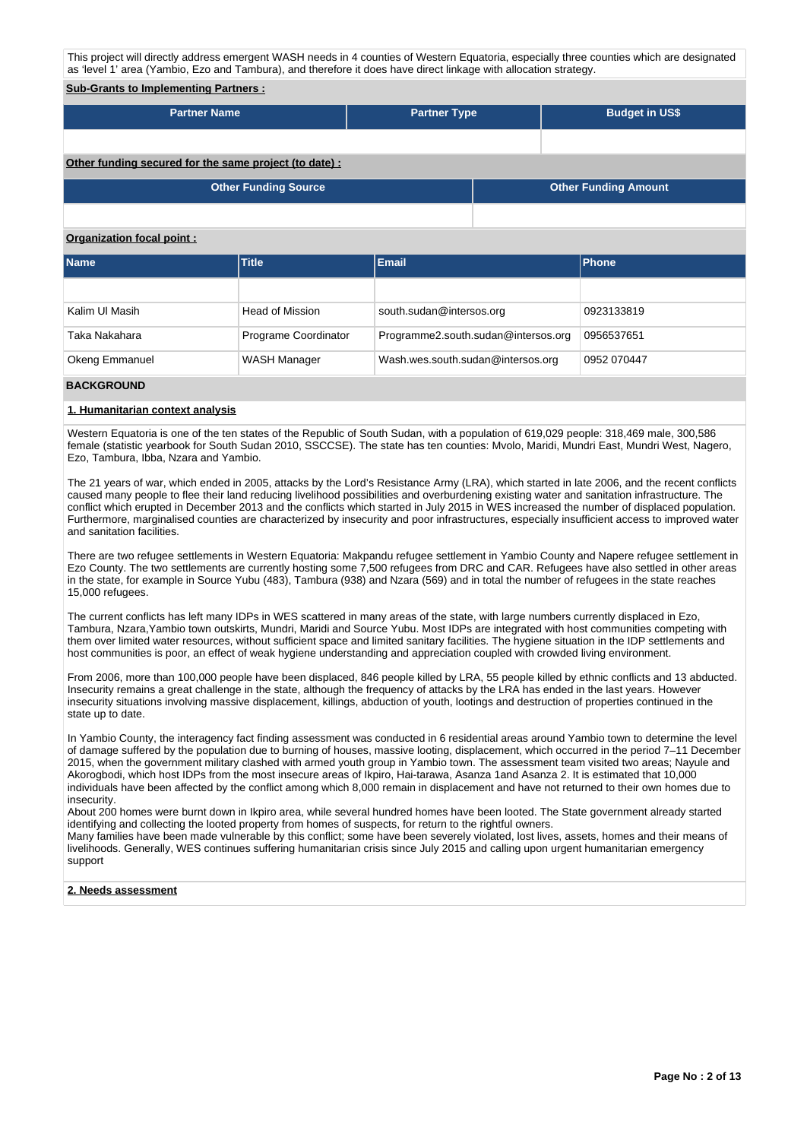This project will directly address emergent WASH needs in 4 counties of Western Equatoria, especially three counties which are designated as 'level 1' area (Yambio, Ezo and Tambura), and therefore it does have direct linkage with allocation strategy.

## **Sub-Grants to Implementing Partners :**

| <b>Partner Name</b> | <b>Partner Type</b> | <b>Budget in US\$</b> |
|---------------------|---------------------|-----------------------|
|                     |                     |                       |

## **Other funding secured for the same project (to date) :**

| Other Funding Source | <b>Other Funding Amount</b> |
|----------------------|-----------------------------|
|                      |                             |

#### **Organization focal point :**

| <b>Name</b>           | <b>Title</b>           | <b>Email</b>                        | <b>Phone</b> |
|-----------------------|------------------------|-------------------------------------|--------------|
|                       |                        |                                     |              |
| Kalim UI Masih        | <b>Head of Mission</b> | south.sudan@intersos.org            | 0923133819   |
| Taka Nakahara         | Programe Coordinator   | Programme2.south.sudan@intersos.org | 0956537651   |
| <b>Okeng Emmanuel</b> | <b>WASH Manager</b>    | Wash.wes.south.sudan@intersos.org   | 0952 070447  |

## **BACKGROUND**

#### **1. Humanitarian context analysis**

Western Equatoria is one of the ten states of the Republic of South Sudan, with a population of 619,029 people: 318,469 male, 300,586 female (statistic yearbook for South Sudan 2010, SSCCSE). The state has ten counties: Mvolo, Maridi, Mundri East, Mundri West, Nagero, Ezo, Tambura, Ibba, Nzara and Yambio.

The 21 years of war, which ended in 2005, attacks by the Lord's Resistance Army (LRA), which started in late 2006, and the recent conflicts caused many people to flee their land reducing livelihood possibilities and overburdening existing water and sanitation infrastructure. The conflict which erupted in December 2013 and the conflicts which started in July 2015 in WES increased the number of displaced population. Furthermore, marginalised counties are characterized by insecurity and poor infrastructures, especially insufficient access to improved water and sanitation facilities.

There are two refugee settlements in Western Equatoria: Makpandu refugee settlement in Yambio County and Napere refugee settlement in Ezo County. The two settlements are currently hosting some 7,500 refugees from DRC and CAR. Refugees have also settled in other areas in the state, for example in Source Yubu (483), Tambura (938) and Nzara (569) and in total the number of refugees in the state reaches 15,000 refugees.

The current conflicts has left many IDPs in WES scattered in many areas of the state, with large numbers currently displaced in Ezo, Tambura, Nzara,Yambio town outskirts, Mundri, Maridi and Source Yubu. Most IDPs are integrated with host communities competing with them over limited water resources, without sufficient space and limited sanitary facilities. The hygiene situation in the IDP settlements and host communities is poor, an effect of weak hygiene understanding and appreciation coupled with crowded living environment.

From 2006, more than 100,000 people have been displaced, 846 people killed by LRA, 55 people killed by ethnic conflicts and 13 abducted. Insecurity remains a great challenge in the state, although the frequency of attacks by the LRA has ended in the last years. However insecurity situations involving massive displacement, killings, abduction of youth, lootings and destruction of properties continued in the state up to date.

In Yambio County, the interagency fact finding assessment was conducted in 6 residential areas around Yambio town to determine the level of damage suffered by the population due to burning of houses, massive looting, displacement, which occurred in the period 7–11 December 2015, when the government military clashed with armed youth group in Yambio town. The assessment team visited two areas; Nayule and Akorogbodi, which host IDPs from the most insecure areas of Ikpiro, Hai-tarawa, Asanza 1and Asanza 2. It is estimated that 10,000 individuals have been affected by the conflict among which 8,000 remain in displacement and have not returned to their own homes due to insecurity.

About 200 homes were burnt down in Ikpiro area, while several hundred homes have been looted. The State government already started identifying and collecting the looted property from homes of suspects, for return to the rightful owners. Many families have been made vulnerable by this conflict; some have been severely violated, lost lives, assets, homes and their means of livelihoods. Generally, WES continues suffering humanitarian crisis since July 2015 and calling upon urgent humanitarian emergency support

#### **2. Needs assessment**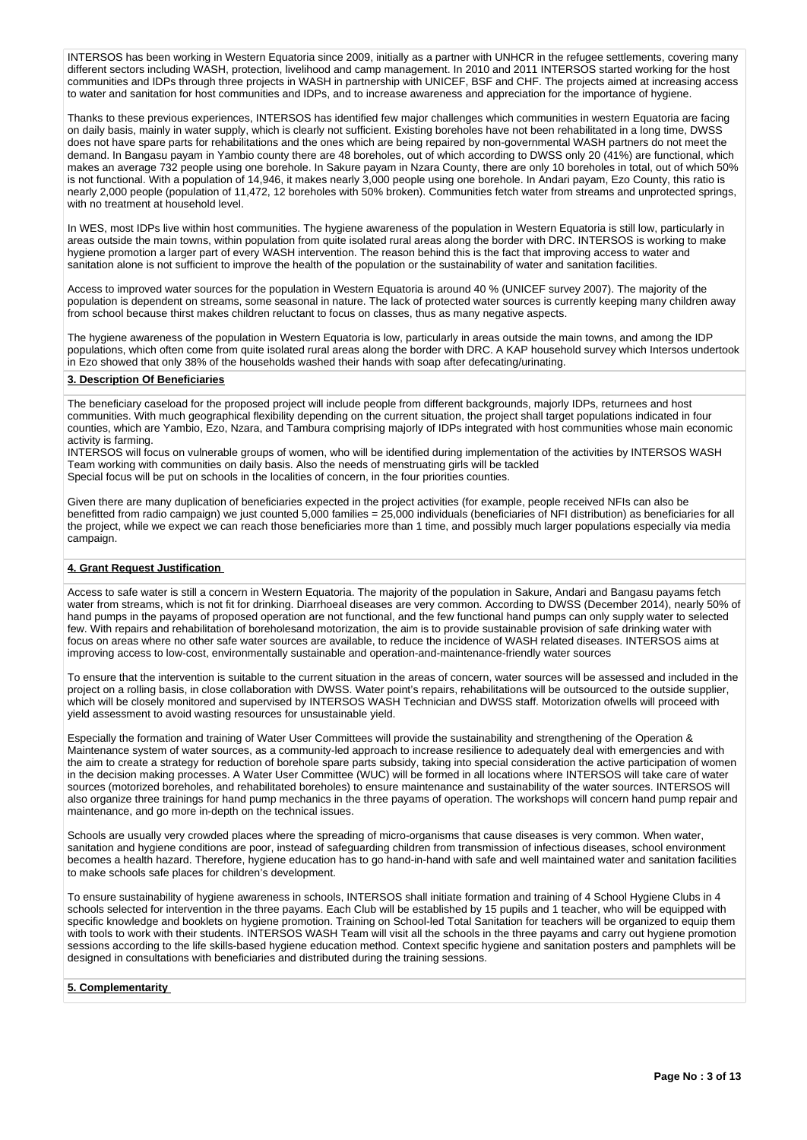INTERSOS has been working in Western Equatoria since 2009, initially as a partner with UNHCR in the refugee settlements, covering many different sectors including WASH, protection, livelihood and camp management. In 2010 and 2011 INTERSOS started working for the host communities and IDPs through three projects in WASH in partnership with UNICEF, BSF and CHF. The projects aimed at increasing access to water and sanitation for host communities and IDPs, and to increase awareness and appreciation for the importance of hygiene.

Thanks to these previous experiences, INTERSOS has identified few major challenges which communities in western Equatoria are facing on daily basis, mainly in water supply, which is clearly not sufficient. Existing boreholes have not been rehabilitated in a long time, DWSS does not have spare parts for rehabilitations and the ones which are being repaired by non-governmental WASH partners do not meet the demand. In Bangasu payam in Yambio county there are 48 boreholes, out of which according to DWSS only 20 (41%) are functional, which makes an average 732 people using one borehole. In Sakure payam in Nzara County, there are only 10 boreholes in total, out of which 50% is not functional. With a population of 14,946, it makes nearly 3,000 people using one borehole. In Andari payam, Ezo County, this ratio is nearly 2,000 people (population of 11,472, 12 boreholes with 50% broken). Communities fetch water from streams and unprotected springs, with no treatment at household level.

In WES, most IDPs live within host communities. The hygiene awareness of the population in Western Equatoria is still low, particularly in areas outside the main towns, within population from quite isolated rural areas along the border with DRC. INTERSOS is working to make hygiene promotion a larger part of every WASH intervention. The reason behind this is the fact that improving access to water and sanitation alone is not sufficient to improve the health of the population or the sustainability of water and sanitation facilities.

Access to improved water sources for the population in Western Equatoria is around 40 % (UNICEF survey 2007). The majority of the population is dependent on streams, some seasonal in nature. The lack of protected water sources is currently keeping many children away from school because thirst makes children reluctant to focus on classes, thus as many negative aspects.

The hygiene awareness of the population in Western Equatoria is low, particularly in areas outside the main towns, and among the IDP populations, which often come from quite isolated rural areas along the border with DRC. A KAP household survey which Intersos undertook in Ezo showed that only 38% of the households washed their hands with soap after defecating/urinating.

#### **3. Description Of Beneficiaries**

The beneficiary caseload for the proposed project will include people from different backgrounds, majorly IDPs, returnees and host communities. With much geographical flexibility depending on the current situation, the project shall target populations indicated in four counties, which are Yambio, Ezo, Nzara, and Tambura comprising majorly of IDPs integrated with host communities whose main economic activity is farming.

INTERSOS will focus on vulnerable groups of women, who will be identified during implementation of the activities by INTERSOS WASH Team working with communities on daily basis. Also the needs of menstruating girls will be tackled Special focus will be put on schools in the localities of concern, in the four priorities counties.

Given there are many duplication of beneficiaries expected in the project activities (for example, people received NFIs can also be benefitted from radio campaign) we just counted 5,000 families = 25,000 individuals (beneficiaries of NFI distribution) as beneficiaries for all the project, while we expect we can reach those beneficiaries more than 1 time, and possibly much larger populations especially via media campaign.

#### **4. Grant Request Justification**

Access to safe water is still a concern in Western Equatoria. The majority of the population in Sakure, Andari and Bangasu payams fetch water from streams, which is not fit for drinking. Diarrhoeal diseases are very common. According to DWSS (December 2014), nearly 50% of hand pumps in the payams of proposed operation are not functional, and the few functional hand pumps can only supply water to selected few. With repairs and rehabilitation of boreholesand motorization, the aim is to provide sustainable provision of safe drinking water with focus on areas where no other safe water sources are available, to reduce the incidence of WASH related diseases. INTERSOS aims at improving access to low-cost, environmentally sustainable and operation-and-maintenance-friendly water sources

To ensure that the intervention is suitable to the current situation in the areas of concern, water sources will be assessed and included in the project on a rolling basis, in close collaboration with DWSS. Water point's repairs, rehabilitations will be outsourced to the outside supplier, which will be closely monitored and supervised by INTERSOS WASH Technician and DWSS staff. Motorization ofwells will proceed with yield assessment to avoid wasting resources for unsustainable yield.

Especially the formation and training of Water User Committees will provide the sustainability and strengthening of the Operation & Maintenance system of water sources, as a community-led approach to increase resilience to adequately deal with emergencies and with the aim to create a strategy for reduction of borehole spare parts subsidy, taking into special consideration the active participation of women in the decision making processes. A Water User Committee (WUC) will be formed in all locations where INTERSOS will take care of water sources (motorized boreholes, and rehabilitated boreholes) to ensure maintenance and sustainability of the water sources. INTERSOS will also organize three trainings for hand pump mechanics in the three payams of operation. The workshops will concern hand pump repair and maintenance, and go more in-depth on the technical issues.

Schools are usually very crowded places where the spreading of micro-organisms that cause diseases is very common. When water, sanitation and hygiene conditions are poor, instead of safeguarding children from transmission of infectious diseases, school environment becomes a health hazard. Therefore, hygiene education has to go hand-in-hand with safe and well maintained water and sanitation facilities to make schools safe places for children's development.

To ensure sustainability of hygiene awareness in schools, INTERSOS shall initiate formation and training of 4 School Hygiene Clubs in 4 schools selected for intervention in the three payams. Each Club will be established by 15 pupils and 1 teacher, who will be equipped with specific knowledge and booklets on hygiene promotion. Training on School-led Total Sanitation for teachers will be organized to equip them with tools to work with their students. INTERSOS WASH Team will visit all the schools in the three payams and carry out hygiene promotion sessions according to the life skills-based hygiene education method. Context specific hygiene and sanitation posters and pamphlets will be designed in consultations with beneficiaries and distributed during the training sessions.

#### **5. Complementarity**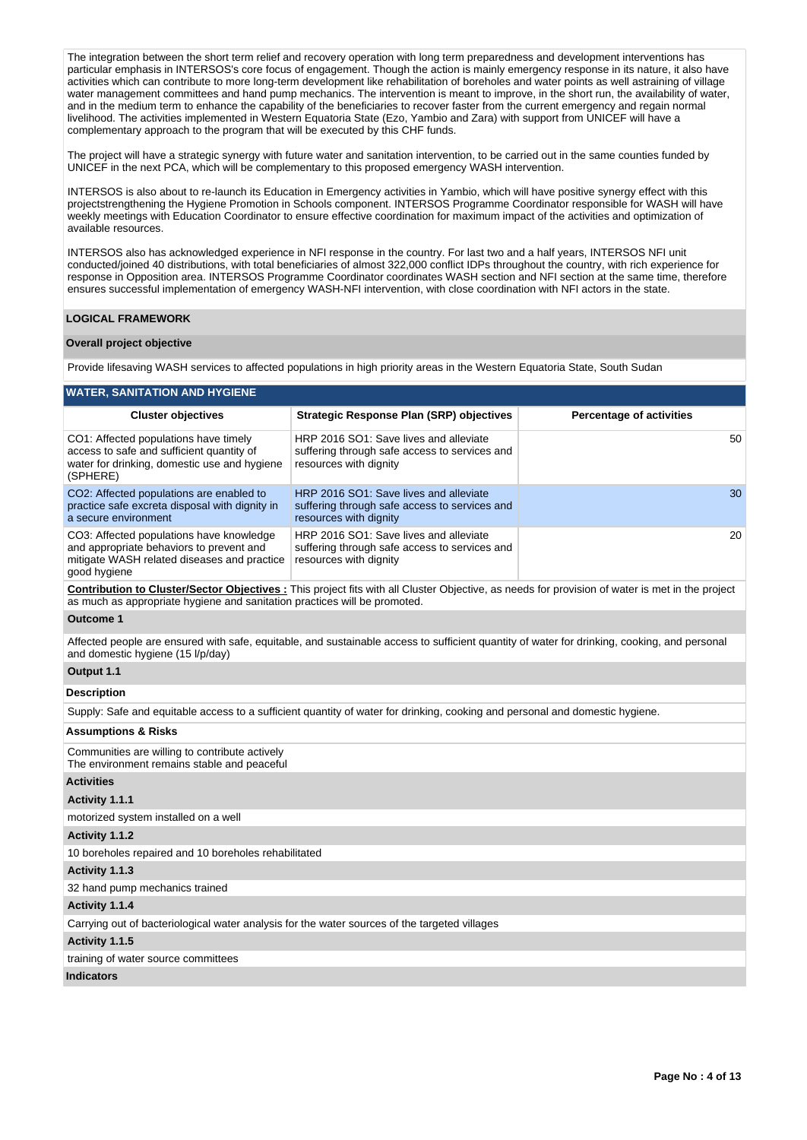The integration between the short term relief and recovery operation with long term preparedness and development interventions has particular emphasis in INTERSOS's core focus of engagement. Though the action is mainly emergency response in its nature, it also have activities which can contribute to more long-term development like rehabilitation of boreholes and water points as well astraining of village water management committees and hand pump mechanics. The intervention is meant to improve, in the short run, the availability of water, and in the medium term to enhance the capability of the beneficiaries to recover faster from the current emergency and regain normal livelihood. The activities implemented in Western Equatoria State (Ezo, Yambio and Zara) with support from UNICEF will have a complementary approach to the program that will be executed by this CHF funds.

The project will have a strategic synergy with future water and sanitation intervention, to be carried out in the same counties funded by UNICEF in the next PCA, which will be complementary to this proposed emergency WASH intervention.

INTERSOS is also about to re-launch its Education in Emergency activities in Yambio, which will have positive synergy effect with this projectstrengthening the Hygiene Promotion in Schools component. INTERSOS Programme Coordinator responsible for WASH will have weekly meetings with Education Coordinator to ensure effective coordination for maximum impact of the activities and optimization of available resources.

INTERSOS also has acknowledged experience in NFI response in the country. For last two and a half years, INTERSOS NFI unit conducted/joined 40 distributions, with total beneficiaries of almost 322,000 conflict IDPs throughout the country, with rich experience for response in Opposition area. INTERSOS Programme Coordinator coordinates WASH section and NFI section at the same time, therefore ensures successful implementation of emergency WASH-NFI intervention, with close coordination with NFI actors in the state.

## **LOGICAL FRAMEWORK**

#### **Overall project objective**

Provide lifesaving WASH services to affected populations in high priority areas in the Western Equatoria State, South Sudan

| <b>WATER, SANITATION AND HYGIENE</b>                                                                                                                |                                                                                                                                                        |                                 |
|-----------------------------------------------------------------------------------------------------------------------------------------------------|--------------------------------------------------------------------------------------------------------------------------------------------------------|---------------------------------|
| <b>Cluster objectives</b>                                                                                                                           | <b>Strategic Response Plan (SRP) objectives</b>                                                                                                        | <b>Percentage of activities</b> |
| CO1: Affected populations have timely<br>access to safe and sufficient quantity of<br>water for drinking, domestic use and hygiene<br>(SPHERE)      | HRP 2016 SO1: Save lives and alleviate<br>suffering through safe access to services and<br>resources with dignity                                      | 50                              |
| CO2: Affected populations are enabled to<br>practice safe excreta disposal with dignity in<br>a secure environment                                  | HRP 2016 SO1: Save lives and alleviate<br>suffering through safe access to services and<br>resources with dignity                                      | 30                              |
| CO3: Affected populations have knowledge<br>and appropriate behaviors to prevent and<br>mitigate WASH related diseases and practice<br>good hygiene | HRP 2016 SO1: Save lives and alleviate<br>suffering through safe access to services and<br>resources with dignity                                      | 20                              |
| as much as appropriate hygiene and sanitation practices will be promoted.                                                                           | <b>Contribution to Cluster/Sector Objectives</b> : This project fits with all Cluster Objective, as needs for provision of water is met in the project |                                 |
| <b>Outcome 1</b>                                                                                                                                    |                                                                                                                                                        |                                 |
| and domestic hygiene (15 l/p/day)                                                                                                                   | Affected people are ensured with safe, equitable, and sustainable access to sufficient quantity of water for drinking, cooking, and personal           |                                 |
| Output 1.1                                                                                                                                          |                                                                                                                                                        |                                 |
| <b>Description</b>                                                                                                                                  |                                                                                                                                                        |                                 |
|                                                                                                                                                     | Supply: Safe and equitable access to a sufficient quantity of water for drinking, cooking and personal and domestic hygiene.                           |                                 |
| <b>Assumptions &amp; Risks</b>                                                                                                                      |                                                                                                                                                        |                                 |
| Communities are willing to contribute actively<br>The environment remains stable and peaceful                                                       |                                                                                                                                                        |                                 |
| <b>Activities</b>                                                                                                                                   |                                                                                                                                                        |                                 |
| Activity 1.1.1                                                                                                                                      |                                                                                                                                                        |                                 |
| motorized system installed on a well                                                                                                                |                                                                                                                                                        |                                 |
| Activity 1.1.2                                                                                                                                      |                                                                                                                                                        |                                 |
| 10 boreholes repaired and 10 boreholes rehabilitated                                                                                                |                                                                                                                                                        |                                 |
| Activity 1.1.3                                                                                                                                      |                                                                                                                                                        |                                 |
| 32 hand pump mechanics trained                                                                                                                      |                                                                                                                                                        |                                 |
| Activity 1.1.4                                                                                                                                      |                                                                                                                                                        |                                 |
| Carrying out of bacteriological water analysis for the water sources of the targeted villages                                                       |                                                                                                                                                        |                                 |
| Activity 1.1.5                                                                                                                                      |                                                                                                                                                        |                                 |

training of water source committees

#### **Indicators**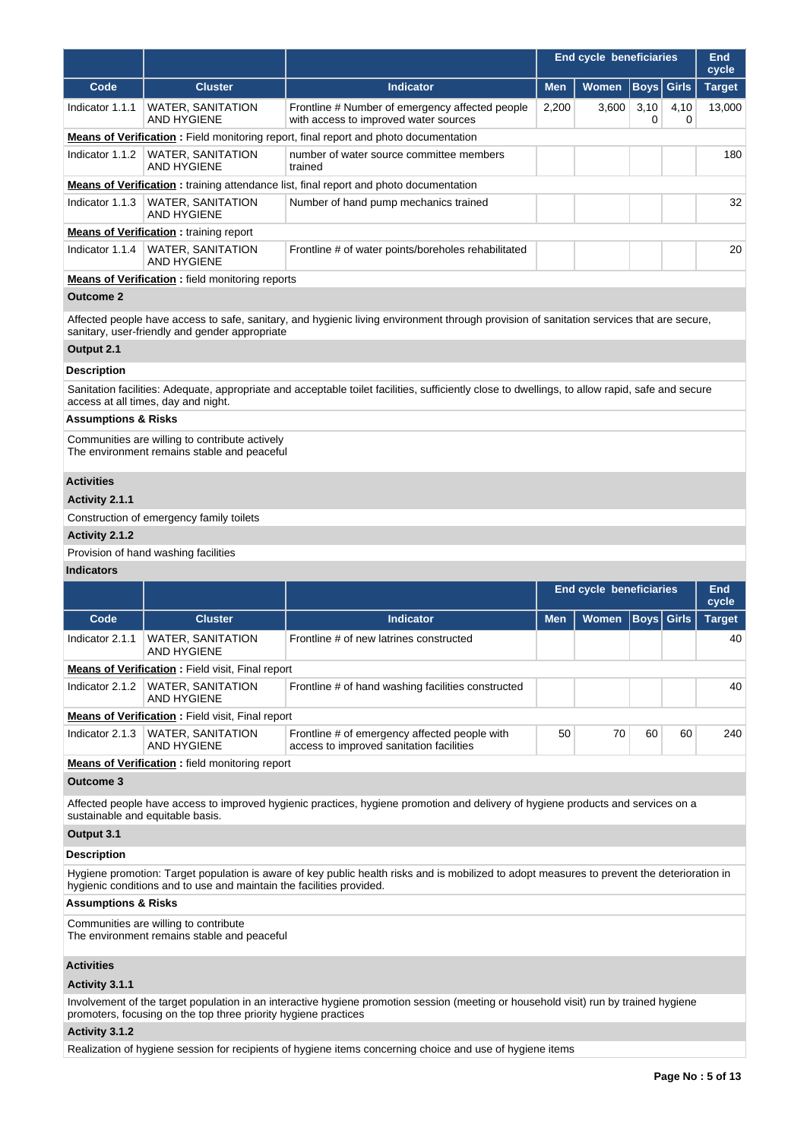|                                |                                                                                               |                                                                                                                                                 | <b>End cycle beneficiaries</b> | <b>End</b><br>cycle            |                   |              |               |
|--------------------------------|-----------------------------------------------------------------------------------------------|-------------------------------------------------------------------------------------------------------------------------------------------------|--------------------------------|--------------------------------|-------------------|--------------|---------------|
| Code                           | <b>Cluster</b>                                                                                | <b>Indicator</b>                                                                                                                                | <b>Men</b>                     | Women                          | <b>Boys</b>       | <b>Girls</b> | <b>Target</b> |
| Indicator 1.1.1                | WATER, SANITATION<br><b>AND HYGIENE</b>                                                       | Frontline # Number of emergency affected people<br>with access to improved water sources                                                        | 2,200                          | 3,600                          | 3,10<br>0         | 4,10<br>0    | 13,000        |
|                                |                                                                                               | <b>Means of Verification</b> : Field monitoring report, final report and photo documentation                                                    |                                |                                |                   |              |               |
| Indicator 1.1.2                | <b>WATER, SANITATION</b><br><b>AND HYGIENE</b>                                                | number of water source committee members<br>trained                                                                                             |                                |                                |                   |              | 180           |
|                                |                                                                                               | <b>Means of Verification:</b> training attendance list, final report and photo documentation                                                    |                                |                                |                   |              |               |
| Indicator 1.1.3                | <b>WATER, SANITATION</b><br><b>AND HYGIENE</b>                                                | Number of hand pump mechanics trained                                                                                                           |                                |                                |                   |              | 32            |
|                                | <b>Means of Verification:</b> training report                                                 |                                                                                                                                                 |                                |                                |                   |              |               |
| Indicator 1.1.4                | <b>WATER, SANITATION</b><br><b>AND HYGIENE</b>                                                | Frontline # of water points/boreholes rehabilitated                                                                                             |                                |                                |                   |              | 20            |
|                                | <b>Means of Verification</b> : field monitoring reports                                       |                                                                                                                                                 |                                |                                |                   |              |               |
| <b>Outcome 2</b>               |                                                                                               |                                                                                                                                                 |                                |                                |                   |              |               |
|                                | sanitary, user-friendly and gender appropriate                                                | Affected people have access to safe, sanitary, and hygienic living environment through provision of sanitation services that are secure,        |                                |                                |                   |              |               |
| Output 2.1                     |                                                                                               |                                                                                                                                                 |                                |                                |                   |              |               |
| <b>Description</b>             |                                                                                               |                                                                                                                                                 |                                |                                |                   |              |               |
|                                | access at all times, day and night.                                                           | Sanitation facilities: Adequate, appropriate and acceptable toilet facilities, sufficiently close to dwellings, to allow rapid, safe and secure |                                |                                |                   |              |               |
| <b>Assumptions &amp; Risks</b> |                                                                                               |                                                                                                                                                 |                                |                                |                   |              |               |
|                                | Communities are willing to contribute actively<br>The environment remains stable and peaceful |                                                                                                                                                 |                                |                                |                   |              |               |
| <b>Activities</b>              |                                                                                               |                                                                                                                                                 |                                |                                |                   |              |               |
| Activity 2.1.1                 |                                                                                               |                                                                                                                                                 |                                |                                |                   |              |               |
|                                | Construction of emergency family toilets                                                      |                                                                                                                                                 |                                |                                |                   |              |               |
| Activity 2.1.2                 |                                                                                               |                                                                                                                                                 |                                |                                |                   |              |               |
|                                | Provision of hand washing facilities                                                          |                                                                                                                                                 |                                |                                |                   |              |               |
| <b>Indicators</b>              |                                                                                               |                                                                                                                                                 |                                |                                |                   |              |               |
|                                |                                                                                               |                                                                                                                                                 |                                | <b>End cycle beneficiaries</b> |                   |              | End<br>cycle  |
| Code                           | <b>Cluster</b>                                                                                | <b>Indicator</b>                                                                                                                                | <b>Men</b>                     | <b>Women</b>                   | <b>Boys</b> Girls |              | <b>Target</b> |
| Indicator 2.1.1                | <b>WATER, SANITATION</b><br>AND HYGIENE                                                       | Frontline # of new latrines constructed                                                                                                         |                                |                                |                   |              | 40            |
|                                | <b>Means of Verification:</b> Field visit, Final report                                       |                                                                                                                                                 |                                |                                |                   |              |               |
| Indicator 2.1.2                | <b>WATER, SANITATION</b><br><b>AND HYGIENE</b>                                                | Frontline # of hand washing facilities constructed                                                                                              |                                |                                |                   |              | 40            |
|                                | <b>Means of Verification:</b> Field visit, Final report                                       |                                                                                                                                                 |                                |                                |                   |              |               |
| Indicator 2.1.3                | <b>WATER, SANITATION</b><br><b>AND HYGIENE</b>                                                | Frontline # of emergency affected people with<br>access to improved sanitation facilities                                                       | 50                             | 70                             | 60                | 60           | 240           |
|                                | <b>Means of Verification:</b> field monitoring report                                         |                                                                                                                                                 |                                |                                |                   |              |               |
| <b>Outcome 3</b>               |                                                                                               |                                                                                                                                                 |                                |                                |                   |              |               |
|                                | sustainable and equitable basis.                                                              | Affected people have access to improved hygienic practices, hygiene promotion and delivery of hygiene products and services on a                |                                |                                |                   |              |               |
| Output 3.1                     |                                                                                               |                                                                                                                                                 |                                |                                |                   |              |               |
| <b>Description</b>             |                                                                                               |                                                                                                                                                 |                                |                                |                   |              |               |
|                                | hygienic conditions and to use and maintain the facilities provided.                          | Hygiene promotion: Target population is aware of key public health risks and is mobilized to adopt measures to prevent the deterioration in     |                                |                                |                   |              |               |
| <b>Assumptions &amp; Risks</b> |                                                                                               |                                                                                                                                                 |                                |                                |                   |              |               |
|                                | Communities are willing to contribute<br>The environment remains stable and peaceful          |                                                                                                                                                 |                                |                                |                   |              |               |
| <b>Activities</b>              |                                                                                               |                                                                                                                                                 |                                |                                |                   |              |               |
| Activity 3.1.1                 |                                                                                               |                                                                                                                                                 |                                |                                |                   |              |               |
|                                | promoters, focusing on the top three priority hygiene practices                               | Involvement of the target population in an interactive hygiene promotion session (meeting or household visit) run by trained hygiene            |                                |                                |                   |              |               |
| Activity 3.1.2                 |                                                                                               |                                                                                                                                                 |                                |                                |                   |              |               |
|                                |                                                                                               | Realization of hygiene session for recipients of hygiene items concerning choice and use of hygiene items                                       |                                |                                |                   |              |               |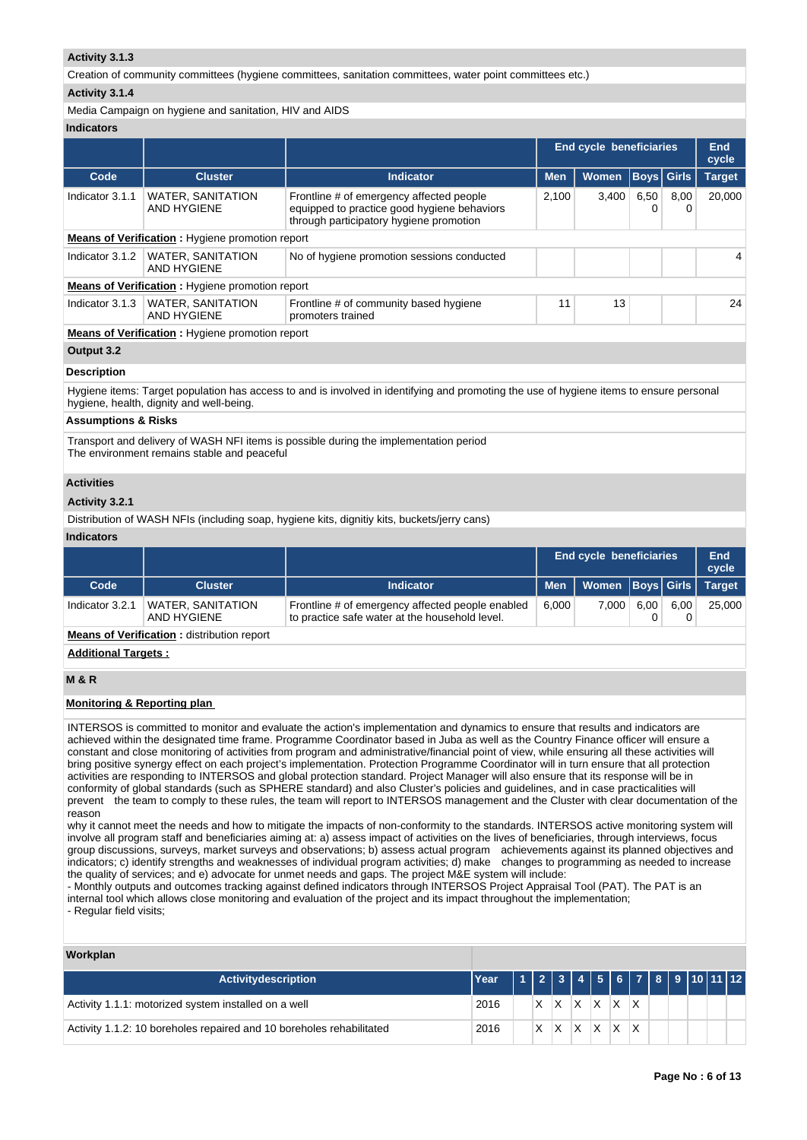## **Activity 3.1.3**

Creation of community committees (hygiene committees, sanitation committees, water point committees etc.)

## **Activity 3.1.4**

Media Campaign on hygiene and sanitation, HIV and AIDS

# **Indicators**

| iliuluatul ə       |                                                        |                                                                                                                                    |                         |              |                   |           |               |
|--------------------|--------------------------------------------------------|------------------------------------------------------------------------------------------------------------------------------------|-------------------------|--------------|-------------------|-----------|---------------|
|                    |                                                        |                                                                                                                                    | End cycle beneficiaries | End<br>cycle |                   |           |               |
| Code               | <b>Cluster</b>                                         | <b>Indicator</b>                                                                                                                   | <b>Men</b>              | <b>Women</b> | <b>Boys</b> Girls |           | <b>Target</b> |
| Indicator 3.1.1    | <b>WATER, SANITATION</b><br>AND HYGIENE                | Frontline # of emergency affected people<br>equipped to practice good hygiene behaviors<br>through participatory hygiene promotion | 2,100                   | 3,400        | 6,50<br>0         | 8,00<br>0 | 20,000        |
|                    | <b>Means of Verification:</b> Hygiene promotion report |                                                                                                                                    |                         |              |                   |           |               |
| Indicator 3.1.2    | <b>WATER, SANITATION</b><br>AND HYGIENE                | No of hygiene promotion sessions conducted                                                                                         |                         |              |                   |           | 4             |
|                    | <b>Means of Verification:</b> Hygiene promotion report |                                                                                                                                    |                         |              |                   |           |               |
| Indicator 3.1.3    | <b>WATER, SANITATION</b><br>AND HYGIENE                | Frontline # of community based hygiene<br>promoters trained                                                                        | 11                      | 13           |                   |           | 24            |
|                    | <b>Means of Verification:</b> Hygiene promotion report |                                                                                                                                    |                         |              |                   |           |               |
| Output 3.2         |                                                        |                                                                                                                                    |                         |              |                   |           |               |
| <b>Description</b> |                                                        |                                                                                                                                    |                         |              |                   |           |               |

**Description**

Hygiene items: Target population has access to and is involved in identifying and promoting the use of hygiene items to ensure personal hygiene, health, dignity and well-being.

## **Assumptions & Risks**

Transport and delivery of WASH NFI items is possible during the implementation period The environment remains stable and peaceful

#### **Activities**

## **Activity 3.2.1**

Distribution of WASH NFIs (including soap, hygiene kits, dignitiy kits, buckets/jerry cans)

## **Indicators**

|                 |                                         |                                                                                                    |       | <b>End cycle beneficiaries</b>      |      |      |        |
|-----------------|-----------------------------------------|----------------------------------------------------------------------------------------------------|-------|-------------------------------------|------|------|--------|
| Code            | <b>Cluster</b>                          | <b>Indicator</b>                                                                                   |       | Men   Women   Boys   Girls   Target |      |      |        |
| Indicator 3.2.1 | <b>WATER, SANITATION</b><br>AND HYGIENE | Frontline # of emergency affected people enabled<br>to practice safe water at the household level. | 6.000 | 7.000                               | 6.00 | 6.00 | 25,000 |
| - -             | .                                       |                                                                                                    |       |                                     |      |      |        |

**Means of Verification :** distribution report

**Additional Targets :**

## **M & R**

## **Monitoring & Reporting plan**

INTERSOS is committed to monitor and evaluate the action's implementation and dynamics to ensure that results and indicators are achieved within the designated time frame. Programme Coordinator based in Juba as well as the Country Finance officer will ensure a constant and close monitoring of activities from program and administrative/financial point of view, while ensuring all these activities will bring positive synergy effect on each project's implementation. Protection Programme Coordinator will in turn ensure that all protection activities are responding to INTERSOS and global protection standard. Project Manager will also ensure that its response will be in conformity of global standards (such as SPHERE standard) and also Cluster's policies and guidelines, and in case practicalities will prevent the team to comply to these rules, the team will report to INTERSOS management and the Cluster with clear documentation of the reason

why it cannot meet the needs and how to mitigate the impacts of non-conformity to the standards. INTERSOS active monitoring system will involve all program staff and beneficiaries aiming at: a) assess impact of activities on the lives of beneficiaries, through interviews, focus group discussions, surveys, market surveys and observations; b) assess actual program achievements against its planned objectives and indicators; c) identify strengths and weaknesses of individual program activities; d) make changes to programming as needed to increase the quality of services; and e) advocate for unmet needs and gaps. The project M&E system will include:

- Monthly outputs and outcomes tracking against defined indicators through INTERSOS Project Appraisal Tool (PAT). The PAT is an internal tool which allows close monitoring and evaluation of the project and its impact throughout the implementation; - Regular field visits;

## **Workplan**

| <b>Activitydescription</b>                                           | l Year |  |  |                         |  |  |  |
|----------------------------------------------------------------------|--------|--|--|-------------------------|--|--|--|
| Activity 1.1.1: motorized system installed on a well                 | 2016   |  |  | $X$ $X$ $X$ $X$ $X$ $X$ |  |  |  |
| Activity 1.1.2: 10 boreholes repaired and 10 boreholes rehabilitated | 2016   |  |  | $X$ $X$ $X$ $X$ $X$     |  |  |  |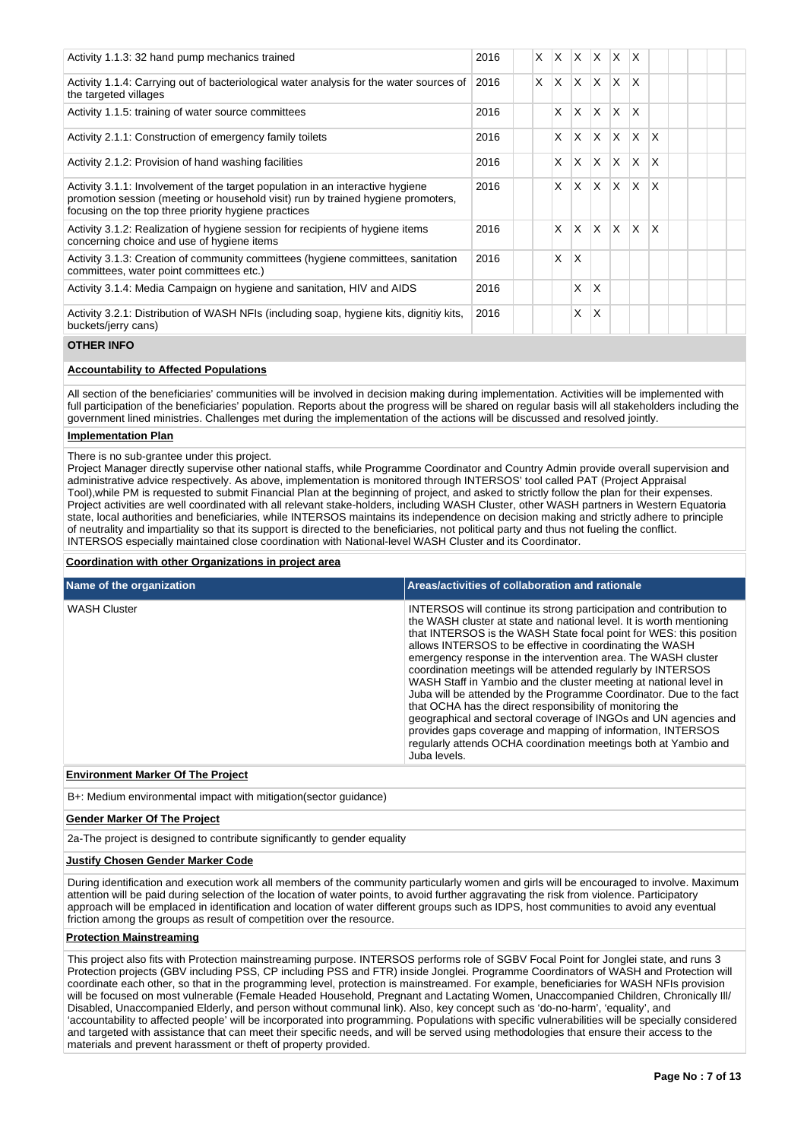| Activity 1.1.3: 32 hand pump mechanics trained                                                                                                                                                                             | 2016 | X.       | X. | <b>X</b> | $\mathsf{X}$ | $\mathsf{X}$            | $\mathsf{I} \mathsf{X}$ |              |  |  |
|----------------------------------------------------------------------------------------------------------------------------------------------------------------------------------------------------------------------------|------|----------|----|----------|--------------|-------------------------|-------------------------|--------------|--|--|
| Activity 1.1.4: Carrying out of bacteriological water analysis for the water sources of<br>the targeted villages                                                                                                           | 2016 | $\times$ | X. | $\times$ | ΙX.          | $\mathsf{X}$            | $\mathsf{I} \mathsf{X}$ |              |  |  |
| Activity 1.1.5: training of water source committees                                                                                                                                                                        | 2016 |          | X  | X        | $\times$     | ΙX                      | ΙX                      |              |  |  |
| Activity 2.1.1: Construction of emergency family toilets                                                                                                                                                                   | 2016 |          | X  | X        | $\mathsf{X}$ | ΙX.                     | $\mathsf{X}$            | $\mathsf{X}$ |  |  |
| Activity 2.1.2: Provision of hand washing facilities                                                                                                                                                                       | 2016 |          | X  | X        | X            | $\mathsf{X} \mathsf{X}$ |                         | $\mathsf{X}$ |  |  |
| Activity 3.1.1: Involvement of the target population in an interactive hygiene<br>promotion session (meeting or household visit) run by trained hygiene promoters,<br>focusing on the top three priority hygiene practices | 2016 |          | X  | X        | X            | $\mathsf{X}$            | $\mathsf{I} \mathsf{X}$ | $\mathsf{x}$ |  |  |
| Activity 3.1.2: Realization of hygiene session for recipients of hygiene items<br>concerning choice and use of hygiene items                                                                                               | 2016 |          | X  | X        | X            | $\mathsf{X}$            | $\mathsf{I} \mathsf{X}$ | $\mathsf{X}$ |  |  |
| Activity 3.1.3: Creation of community committees (hygiene committees, sanitation<br>committees, water point committees etc.)                                                                                               | 2016 |          | X  | X        |              |                         |                         |              |  |  |
| Activity 3.1.4: Media Campaign on hygiene and sanitation, HIV and AIDS                                                                                                                                                     | 2016 |          |    | X        | X            |                         |                         |              |  |  |
| Activity 3.2.1: Distribution of WASH NFIs (including soap, hygiene kits, dignitiy kits,<br>buckets/jerry cans)                                                                                                             | 2016 |          |    | X        | X            |                         |                         |              |  |  |

#### **OTHER INFO**

## **Accountability to Affected Populations**

All section of the beneficiaries' communities will be involved in decision making during implementation. Activities will be implemented with full participation of the beneficiaries' population. Reports about the progress will be shared on regular basis will all stakeholders including the government lined ministries. Challenges met during the implementation of the actions will be discussed and resolved jointly.

#### **Implementation Plan**

There is no sub-grantee under this project.

Project Manager directly supervise other national staffs, while Programme Coordinator and Country Admin provide overall supervision and administrative advice respectively. As above, implementation is monitored through INTERSOS' tool called PAT (Project Appraisal Tool),while PM is requested to submit Financial Plan at the beginning of project, and asked to strictly follow the plan for their expenses. Project activities are well coordinated with all relevant stake-holders, including WASH Cluster, other WASH partners in Western Equatoria state, local authorities and beneficiaries, while INTERSOS maintains its independence on decision making and strictly adhere to principle of neutrality and impartiality so that its support is directed to the beneficiaries, not political party and thus not fueling the conflict. INTERSOS especially maintained close coordination with National-level WASH Cluster and its Coordinator.

#### **Coordination with other Organizations in project area**

| Name of the organization | Areas/activities of collaboration and rationale                                                                                                                                                                                                                                                                                                                                                                                                                                                                                                                                                                                                                                                                                                                                                                                              |
|--------------------------|----------------------------------------------------------------------------------------------------------------------------------------------------------------------------------------------------------------------------------------------------------------------------------------------------------------------------------------------------------------------------------------------------------------------------------------------------------------------------------------------------------------------------------------------------------------------------------------------------------------------------------------------------------------------------------------------------------------------------------------------------------------------------------------------------------------------------------------------|
| <b>WASH Cluster</b>      | INTERSOS will continue its strong participation and contribution to<br>the WASH cluster at state and national level. It is worth mentioning<br>that INTERSOS is the WASH State focal point for WES: this position<br>allows INTERSOS to be effective in coordinating the WASH<br>emergency response in the intervention area. The WASH cluster<br>coordination meetings will be attended regularly by INTERSOS<br>WASH Staff in Yambio and the cluster meeting at national level in<br>Juba will be attended by the Programme Coordinator. Due to the fact<br>that OCHA has the direct responsibility of monitoring the<br>geographical and sectoral coverage of INGOs and UN agencies and<br>provides gaps coverage and mapping of information, INTERSOS<br>regularly attends OCHA coordination meetings both at Yambio and<br>Juba levels. |

## **Environment Marker Of The Project**

B+: Medium environmental impact with mitigation(sector guidance)

#### **Gender Marker Of The Project**

2a-The project is designed to contribute significantly to gender equality

#### **Justify Chosen Gender Marker Code**

During identification and execution work all members of the community particularly women and girls will be encouraged to involve. Maximum attention will be paid during selection of the location of water points, to avoid further aggravating the risk from violence. Participatory approach will be emplaced in identification and location of water different groups such as IDPS, host communities to avoid any eventual friction among the groups as result of competition over the resource.

## **Protection Mainstreaming**

This project also fits with Protection mainstreaming purpose. INTERSOS performs role of SGBV Focal Point for Jonglei state, and runs 3 Protection projects (GBV including PSS, CP including PSS and FTR) inside Jonglei. Programme Coordinators of WASH and Protection will coordinate each other, so that in the programming level, protection is mainstreamed. For example, beneficiaries for WASH NFIs provision will be focused on most vulnerable (Female Headed Household, Pregnant and Lactating Women, Unaccompanied Children, Chronically Ill/ Disabled, Unaccompanied Elderly, and person without communal link). Also, key concept such as 'do-no-harm', 'equality', and 'accountability to affected people' will be incorporated into programming. Populations with specific vulnerabilities will be specially considered and targeted with assistance that can meet their specific needs, and will be served using methodologies that ensure their access to the materials and prevent harassment or theft of property provided.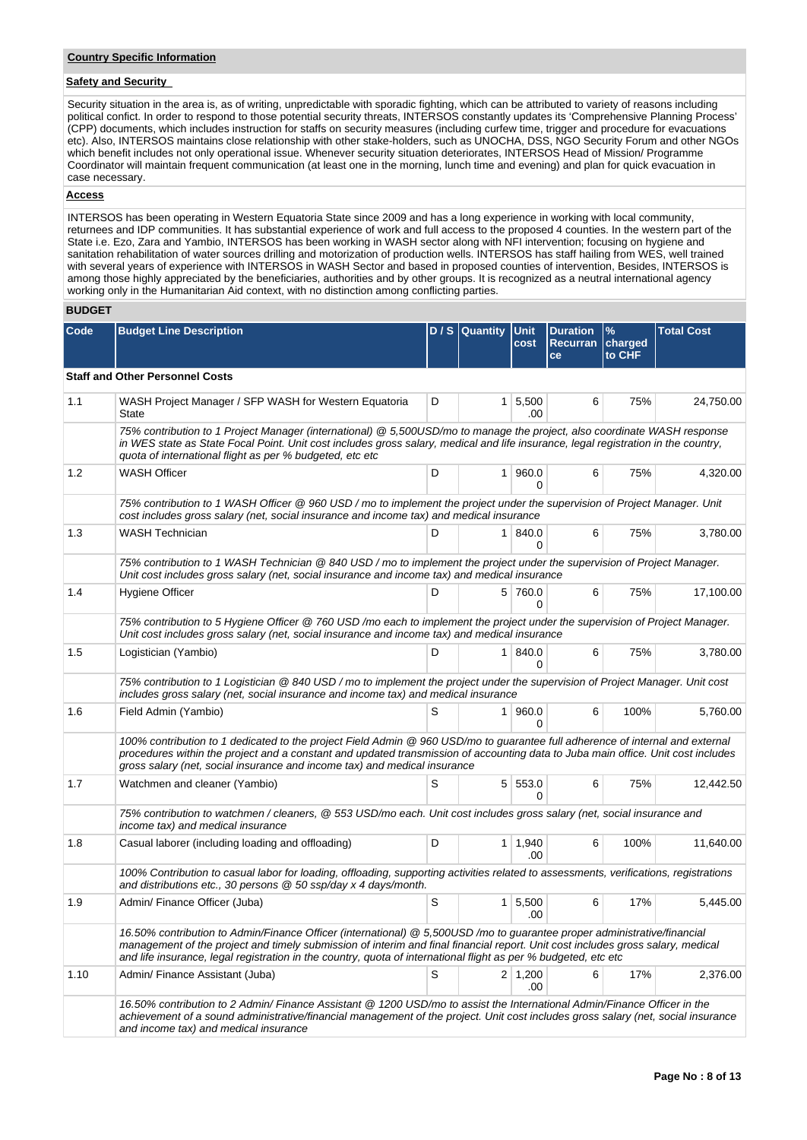## **Safety and Security**

Security situation in the area is, as of writing, unpredictable with sporadic fighting, which can be attributed to variety of reasons including political confict. In order to respond to those potential security threats, INTERSOS constantly updates its 'Comprehensive Planning Process' (CPP) documents, which includes instruction for staffs on security measures (including curfew time, trigger and procedure for evacuations etc). Also, INTERSOS maintains close relationship with other stake-holders, such as UNOCHA, DSS, NGO Security Forum and other NGOs which benefit includes not only operational issue. Whenever security situation deteriorates, INTERSOS Head of Mission/ Programme Coordinator will maintain frequent communication (at least one in the morning, lunch time and evening) and plan for quick evacuation in case necessary.

## **Access**

INTERSOS has been operating in Western Equatoria State since 2009 and has a long experience in working with local community, returnees and IDP communities. It has substantial experience of work and full access to the proposed 4 counties. In the western part of the State i.e. Ezo, Zara and Yambio, INTERSOS has been working in WASH sector along with NFI intervention; focusing on hygiene and sanitation rehabilitation of water sources drilling and motorization of production wells. INTERSOS has staff hailing from WES, well trained with several years of experience with INTERSOS in WASH Sector and based in proposed counties of intervention, Besides, INTERSOS is among those highly appreciated by the beneficiaries, authorities and by other groups. It is recognized as a neutral international agency working only in the Humanitarian Aid context, with no distinction among conflicting parties.

## **BUDGET**

| Code | <b>Budget Line Description</b>                                                                                                                                                                                                                                                                                                                                                 |   | D / S Quantity Unit | cost                   | <b>Duration</b><br>Recurran<br>ce | $\frac{9}{6}$<br>charged<br>to CHF | <b>Total Cost</b> |
|------|--------------------------------------------------------------------------------------------------------------------------------------------------------------------------------------------------------------------------------------------------------------------------------------------------------------------------------------------------------------------------------|---|---------------------|------------------------|-----------------------------------|------------------------------------|-------------------|
|      | <b>Staff and Other Personnel Costs</b>                                                                                                                                                                                                                                                                                                                                         |   |                     |                        |                                   |                                    |                   |
| 1.1  | WASH Project Manager / SFP WASH for Western Equatoria<br>State                                                                                                                                                                                                                                                                                                                 | D |                     | $1 \, 5,500$<br>.00    | 6                                 | 75%                                | 24,750.00         |
|      | 75% contribution to 1 Project Manager (international) @ 5,500USD/mo to manage the project, also coordinate WASH response<br>in WES state as State Focal Point. Unit cost includes gross salary, medical and life insurance, legal registration in the country,<br>quota of international flight as per % budgeted, etc etc                                                     |   |                     |                        |                                   |                                    |                   |
| 1.2  | <b>WASH Officer</b>                                                                                                                                                                                                                                                                                                                                                            | D |                     | 1 960.0<br>0           | 6                                 | 75%                                | 4,320.00          |
|      | 75% contribution to 1 WASH Officer @ 960 USD / mo to implement the project under the supervision of Project Manager. Unit<br>cost includes gross salary (net, social insurance and income tax) and medical insurance                                                                                                                                                           |   |                     |                        |                                   |                                    |                   |
| 1.3  | <b>WASH Technician</b>                                                                                                                                                                                                                                                                                                                                                         | D |                     | 1 840.0<br>0           | 6                                 | 75%                                | 3,780.00          |
|      | 75% contribution to 1 WASH Technician @ 840 USD / mo to implement the project under the supervision of Project Manager.<br>Unit cost includes gross salary (net, social insurance and income tax) and medical insurance                                                                                                                                                        |   |                     |                        |                                   |                                    |                   |
| 1.4  | Hygiene Officer                                                                                                                                                                                                                                                                                                                                                                | D |                     | 5 760.0<br>$\Omega$    | 6                                 | 75%                                | 17,100.00         |
|      | 75% contribution to 5 Hygiene Officer @ 760 USD/mo each to implement the project under the supervision of Project Manager.<br>Unit cost includes gross salary (net, social insurance and income tax) and medical insurance                                                                                                                                                     |   |                     |                        |                                   |                                    |                   |
| 1.5  | Logistician (Yambio)                                                                                                                                                                                                                                                                                                                                                           | D |                     | 1   840.0<br>$\Omega$  | 6                                 | 75%                                | 3,780.00          |
|      | 75% contribution to 1 Logistician @ 840 USD / mo to implement the project under the supervision of Project Manager. Unit cost<br>includes gross salary (net, social insurance and income tax) and medical insurance                                                                                                                                                            |   |                     |                        |                                   |                                    |                   |
| 1.6  | Field Admin (Yambio)                                                                                                                                                                                                                                                                                                                                                           | S |                     | 1 960.0<br>0           | 6                                 | 100%                               | 5,760.00          |
|      | 100% contribution to 1 dedicated to the project Field Admin @ 960 USD/mo to guarantee full adherence of internal and external<br>procedures within the project and a constant and updated transmission of accounting data to Juba main office. Unit cost includes<br>gross salary (net, social insurance and income tax) and medical insurance                                 |   |                     |                        |                                   |                                    |                   |
| 1.7  | Watchmen and cleaner (Yambio)                                                                                                                                                                                                                                                                                                                                                  | S |                     | 5 553.0<br>$\Omega$    | 6                                 | 75%                                | 12,442.50         |
|      | 75% contribution to watchmen / cleaners, @ 553 USD/mo each. Unit cost includes gross salary (net, social insurance and<br>income tax) and medical insurance                                                                                                                                                                                                                    |   |                     |                        |                                   |                                    |                   |
| 1.8  | Casual laborer (including loading and offloading)                                                                                                                                                                                                                                                                                                                              | D |                     | $1 \mid 1,940$<br>.00. | 6                                 | 100%                               | 11,640.00         |
|      | 100% Contribution to casual labor for loading, offloading, supporting activities related to assessments, verifications, registrations<br>and distributions etc., 30 persons @ 50 ssp/day x 4 days/month.                                                                                                                                                                       |   |                     |                        |                                   |                                    |                   |
| 1.9  | Admin/ Finance Officer (Juba)                                                                                                                                                                                                                                                                                                                                                  | S |                     | $1 \, 5,500$<br>.00    | 6                                 | 17%                                | 5,445.00          |
|      | 16.50% contribution to Admin/Finance Officer (international) @ 5,500USD /mo to guarantee proper administrative/financial<br>management of the project and timely submission of interim and final financial report. Unit cost includes gross salary, medical<br>and life insurance, legal registration in the country, quota of international flight as per % budgeted, etc etc |   |                     |                        |                                   |                                    |                   |
| 1.10 | Admin/ Finance Assistant (Juba)                                                                                                                                                                                                                                                                                                                                                | S |                     | $2 \mid 1,200$<br>.00  | 6                                 | 17%                                | 2,376.00          |
|      | 16.50% contribution to 2 Admin/ Finance Assistant @ 1200 USD/mo to assist the International Admin/Finance Officer in the<br>achievement of a sound administrative/financial management of the project. Unit cost includes gross salary (net, social insurance<br>and income tax) and medical insurance                                                                         |   |                     |                        |                                   |                                    |                   |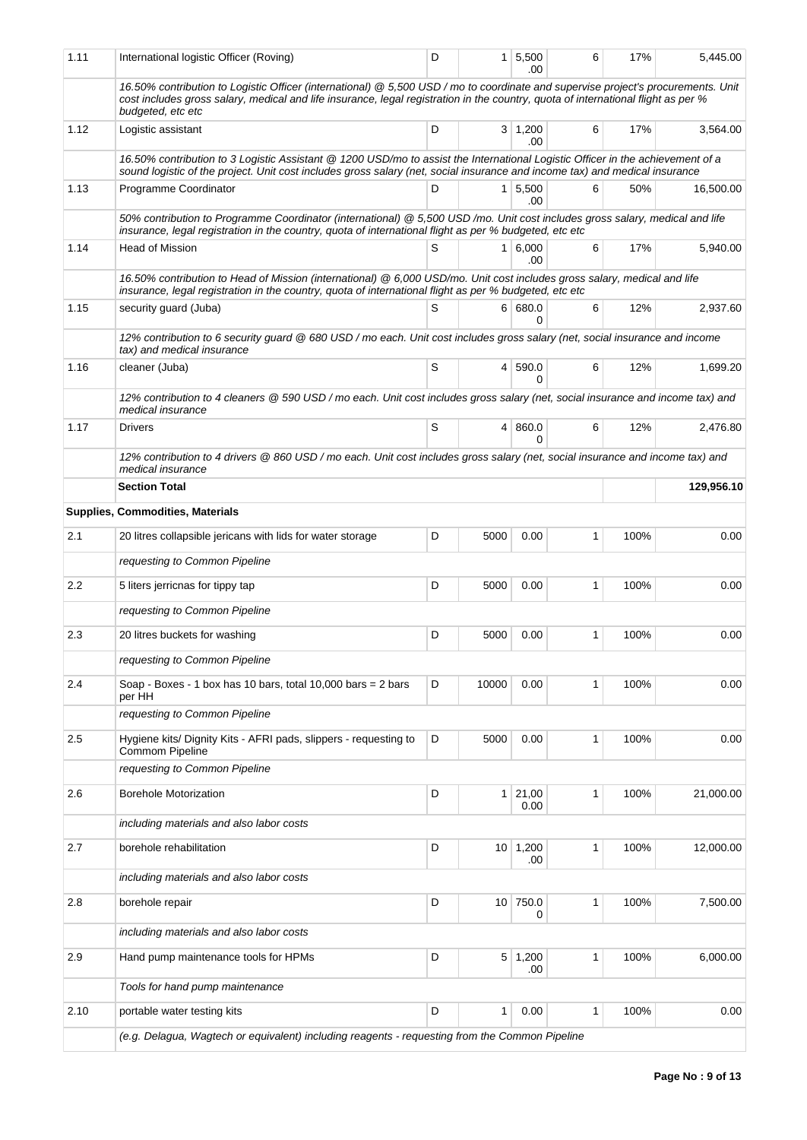| 1.11 | International logistic Officer (Roving)                                                                                                                                                                                                                                                     | D |       | $1 \mid 5,500$<br>.00  | 6            | 17%  | 5.445.00   |
|------|---------------------------------------------------------------------------------------------------------------------------------------------------------------------------------------------------------------------------------------------------------------------------------------------|---|-------|------------------------|--------------|------|------------|
|      | 16.50% contribution to Logistic Officer (international) @ 5,500 USD / mo to coordinate and supervise project's procurements. Unit<br>cost includes gross salary, medical and life insurance, legal registration in the country, quota of international flight as per %<br>budgeted, etc etc |   |       |                        |              |      |            |
| 1.12 | Logistic assistant                                                                                                                                                                                                                                                                          | D |       | $3 \mid 1,200$<br>.00  | 6            | 17%  | 3,564.00   |
|      | 16.50% contribution to 3 Logistic Assistant @ 1200 USD/mo to assist the International Logistic Officer in the achievement of a<br>sound logistic of the project. Unit cost includes gross salary (net, social insurance and income tax) and medical insurance                               |   |       |                        |              |      |            |
| 1.13 | Programme Coordinator                                                                                                                                                                                                                                                                       | D |       | $1 \, 5,500$<br>.00    | 6            | 50%  | 16,500.00  |
|      | 50% contribution to Programme Coordinator (international) @ 5,500 USD /mo. Unit cost includes gross salary, medical and life<br>insurance, legal registration in the country, quota of international flight as per % budgeted, etc etc                                                      |   |       |                        |              |      |            |
| 1.14 | Head of Mission                                                                                                                                                                                                                                                                             | S |       | 1   6,000<br>.00       | 6            | 17%  | 5,940.00   |
|      | 16.50% contribution to Head of Mission (international) @ 6,000 USD/mo. Unit cost includes gross salary, medical and life<br>insurance, legal registration in the country, quota of international flight as per % budgeted, etc etc                                                          |   |       |                        |              |      |            |
| 1.15 | security guard (Juba)                                                                                                                                                                                                                                                                       | S |       | 6 680.0<br>$\Omega$    | 6            | 12%  | 2,937.60   |
|      | 12% contribution to 6 security guard @ 680 USD / mo each. Unit cost includes gross salary (net, social insurance and income<br>tax) and medical insurance                                                                                                                                   |   |       |                        |              |      |            |
| 1.16 | cleaner (Juba)                                                                                                                                                                                                                                                                              | S |       | 4 590.0<br>0           | 6            | 12%  | 1,699.20   |
|      | 12% contribution to 4 cleaners @ 590 USD / mo each. Unit cost includes gross salary (net, social insurance and income tax) and<br>medical insurance                                                                                                                                         |   |       |                        |              |      |            |
| 1.17 | <b>Drivers</b>                                                                                                                                                                                                                                                                              | S |       | 4 860.0<br>0           | 6            | 12%  | 2,476.80   |
|      | 12% contribution to 4 drivers @ 860 USD / mo each. Unit cost includes gross salary (net, social insurance and income tax) and<br>medical insurance                                                                                                                                          |   |       |                        |              |      |            |
|      | <b>Section Total</b>                                                                                                                                                                                                                                                                        |   |       |                        |              |      | 129,956.10 |
|      | Supplies, Commodities, Materials                                                                                                                                                                                                                                                            |   |       |                        |              |      |            |
| 2.1  | 20 litres collapsible jericans with lids for water storage                                                                                                                                                                                                                                  | D | 5000  | 0.00                   | 1            | 100% | 0.00       |
|      | requesting to Common Pipeline                                                                                                                                                                                                                                                               |   |       |                        |              |      |            |
| 2.2  | 5 liters jerricnas for tippy tap                                                                                                                                                                                                                                                            | D | 5000  | 0.00                   | 1            | 100% | 0.00       |
|      | requesting to Common Pipeline                                                                                                                                                                                                                                                               |   |       |                        |              |      |            |
| 2.3  | 20 litres buckets for washing                                                                                                                                                                                                                                                               | D | 5000  | 0.00                   | 1            | 100% | 0.00       |
|      | requesting to Common Pipeline                                                                                                                                                                                                                                                               |   |       |                        |              |      |            |
| 2.4  | Soap - Boxes - 1 box has 10 bars, total 10,000 bars = 2 bars<br>per HH                                                                                                                                                                                                                      | D | 10000 | 0.00                   | $\mathbf{1}$ | 100% | 0.00       |
|      | requesting to Common Pipeline                                                                                                                                                                                                                                                               |   |       |                        |              |      |            |
| 2.5  | Hygiene kits/ Dignity Kits - AFRI pads, slippers - requesting to<br>Commom Pipeline                                                                                                                                                                                                         | D | 5000  | 0.00                   | 1            | 100% | 0.00       |
|      | requesting to Common Pipeline                                                                                                                                                                                                                                                               |   |       |                        |              |      |            |
| 2.6  | <b>Borehole Motorization</b>                                                                                                                                                                                                                                                                | D |       | $1 \mid 21,00$<br>0.00 | 1            | 100% | 21,000.00  |
|      | including materials and also labor costs                                                                                                                                                                                                                                                    |   |       |                        |              |      |            |
| 2.7  | borehole rehabilitation                                                                                                                                                                                                                                                                     | D |       | $10 \mid 1,200$<br>.00 | 1            | 100% | 12,000.00  |
|      | including materials and also labor costs                                                                                                                                                                                                                                                    |   |       |                        |              |      |            |
| 2.8  | borehole repair                                                                                                                                                                                                                                                                             | D |       | 10 750.0<br>0          | 1            | 100% | 7,500.00   |
|      | including materials and also labor costs                                                                                                                                                                                                                                                    |   |       |                        |              |      |            |
| 2.9  | Hand pump maintenance tools for HPMs                                                                                                                                                                                                                                                        | D |       | $5 \mid 1,200$<br>.00  | 1            | 100% | 6,000.00   |
|      | Tools for hand pump maintenance                                                                                                                                                                                                                                                             |   |       |                        |              |      |            |
| 2.10 | portable water testing kits                                                                                                                                                                                                                                                                 | D | 1     | 0.00                   | 1            | 100% | 0.00       |
|      | (e.g. Delagua, Wagtech or equivalent) including reagents - requesting from the Common Pipeline                                                                                                                                                                                              |   |       |                        |              |      |            |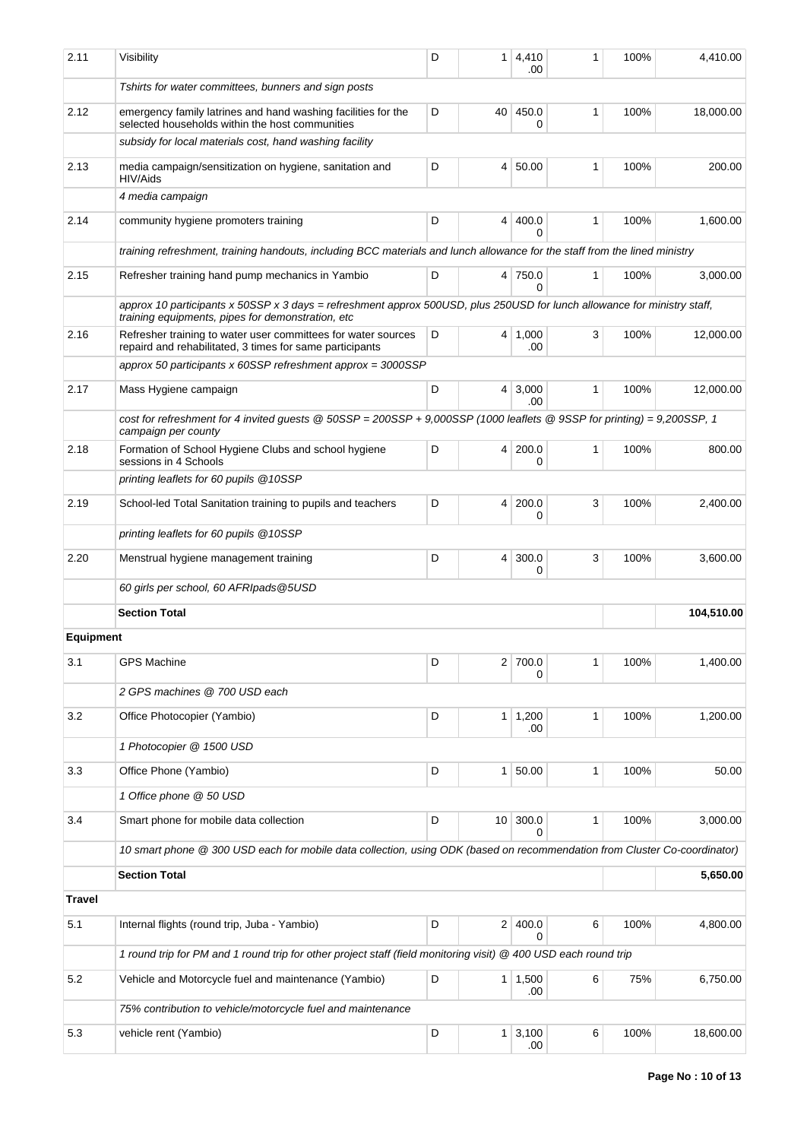| 2.11             | Visibility                                                                                                                                                                    | D               | $\mathbf{1}$    | 4,410<br>.00          | 1            | 100%     | 4,410.00   |
|------------------|-------------------------------------------------------------------------------------------------------------------------------------------------------------------------------|-----------------|-----------------|-----------------------|--------------|----------|------------|
|                  | Tshirts for water committees, bunners and sign posts                                                                                                                          |                 |                 |                       |              |          |            |
| 2.12             | emergency family latrines and hand washing facilities for the<br>selected households within the host communities                                                              | D               | 40              | 450.0<br>0            | 1            | 100%     | 18,000.00  |
|                  | subsidy for local materials cost, hand washing facility                                                                                                                       |                 |                 |                       |              |          |            |
| 2.13             | media campaign/sensitization on hygiene, sanitation and<br>HIV/Aids                                                                                                           | D               | $\overline{4}$  | 50.00                 | $\mathbf{1}$ | 100%     | 200.00     |
|                  | 4 media campaign                                                                                                                                                              |                 |                 |                       |              |          |            |
| 2.14             | community hygiene promoters training                                                                                                                                          | D               | $\overline{4}$  | 400.0<br>0            | 1            | 100%     | 1,600.00   |
|                  | training refreshment, training handouts, including BCC materials and lunch allowance for the staff from the lined ministry                                                    |                 |                 |                       |              |          |            |
| 2.15             | Refresher training hand pump mechanics in Yambio                                                                                                                              | D               |                 | 4 750.0<br>0          | 1            | 100%     | 3,000.00   |
|                  | approx 10 participants x 50SSP x 3 days = refreshment approx 500USD, plus 250USD for lunch allowance for ministry staff,<br>training equipments, pipes for demonstration, etc |                 |                 |                       |              |          |            |
| 2.16             | Refresher training to water user committees for water sources<br>repaird and rehabilitated, 3 times for same participants                                                     | D               | $\vert$         | 1,000<br>.00          | 3            | 100%     | 12,000.00  |
|                  | approx 50 participants x $60$ SSP refreshment approx = $3000$ SSP                                                                                                             |                 |                 |                       |              |          |            |
| 2.17             | Mass Hygiene campaign                                                                                                                                                         | D               | $\vert 4 \vert$ | 3,000<br>.00.         | 1            | 100%     | 12,000.00  |
|                  | cost for refreshment for 4 invited guests @ 50SSP = 200SSP + 9,000SSP (1000 leaflets @ 9SSP for printing) = 9,200SSP, 1<br>campaign per county                                |                 |                 |                       |              |          |            |
| 2.18             | Formation of School Hygiene Clubs and school hygiene<br>sessions in 4 Schools                                                                                                 | D               | 4               | 200.0<br>0            | $\mathbf{1}$ | 100%     | 800.00     |
|                  | printing leaflets for 60 pupils @ 10SSP                                                                                                                                       |                 |                 |                       |              |          |            |
| 2.19             | School-led Total Sanitation training to pupils and teachers                                                                                                                   | D               | 4               | 200.0<br>0            | 3            | 100%     | 2,400.00   |
|                  | printing leaflets for 60 pupils @ 10SSP                                                                                                                                       |                 |                 |                       |              |          |            |
| 2.20             | Menstrual hygiene management training                                                                                                                                         | D               | $\vert$         | 300.0<br>0            | 3            | 100%     | 3,600.00   |
|                  | 60 girls per school, 60 AFRIpads @5USD                                                                                                                                        |                 |                 |                       |              |          |            |
|                  | <b>Section Total</b>                                                                                                                                                          |                 |                 |                       |              |          | 104,510.00 |
| <b>Equipment</b> |                                                                                                                                                                               |                 |                 |                       |              |          |            |
| 3.1              | <b>GPS Machine</b>                                                                                                                                                            | D               |                 | 2 700.0<br>0          | 1            | 100%     | 1,400.00   |
|                  | 2 GPS machines @ 700 USD each                                                                                                                                                 |                 |                 |                       |              |          |            |
| 3.2              | Office Photocopier (Yambio)                                                                                                                                                   | D               | 1               | 1,200<br>.00          | 1            | 100%     | 1,200.00   |
|                  | 1 Photocopier @ 1500 USD                                                                                                                                                      |                 |                 |                       |              |          |            |
| 3.3              | Office Phone (Yambio)                                                                                                                                                         | D               | 1 <sup>1</sup>  | 50.00                 | 1            | 100%     | 50.00      |
|                  | 1 Office phone @ 50 USD                                                                                                                                                       |                 |                 |                       |              |          |            |
| 3.4              | Smart phone for mobile data collection                                                                                                                                        | 10 <sup>1</sup> | 300.0<br>0      | 1                     | 100%         | 3,000.00 |            |
|                  | 10 smart phone @ 300 USD each for mobile data collection, using ODK (based on recommendation from Cluster Co-coordinator)                                                     |                 |                 |                       |              |          |            |
|                  | <b>Section Total</b>                                                                                                                                                          |                 |                 |                       |              |          | 5,650.00   |
| <b>Travel</b>    |                                                                                                                                                                               |                 |                 |                       |              |          |            |
| 5.1              | Internal flights (round trip, Juba - Yambio)                                                                                                                                  | D               |                 | 2 400.0<br>$\Omega$   | 6            | 100%     | 4,800.00   |
|                  | 1 round trip for PM and 1 round trip for other project staff (field monitoring visit) @ 400 USD each round trip                                                               |                 |                 |                       |              |          |            |
| 5.2              | Vehicle and Motorcycle fuel and maintenance (Yambio)                                                                                                                          | D               |                 | $1 \mid 1,500$<br>.00 | 6            | 75%      | 6,750.00   |
|                  | 75% contribution to vehicle/motorcycle fuel and maintenance                                                                                                                   |                 |                 |                       |              |          |            |
| 5.3              | vehicle rent (Yambio)                                                                                                                                                         | D               | 1               | 3,100<br>.00          | 6            | 100%     | 18,600.00  |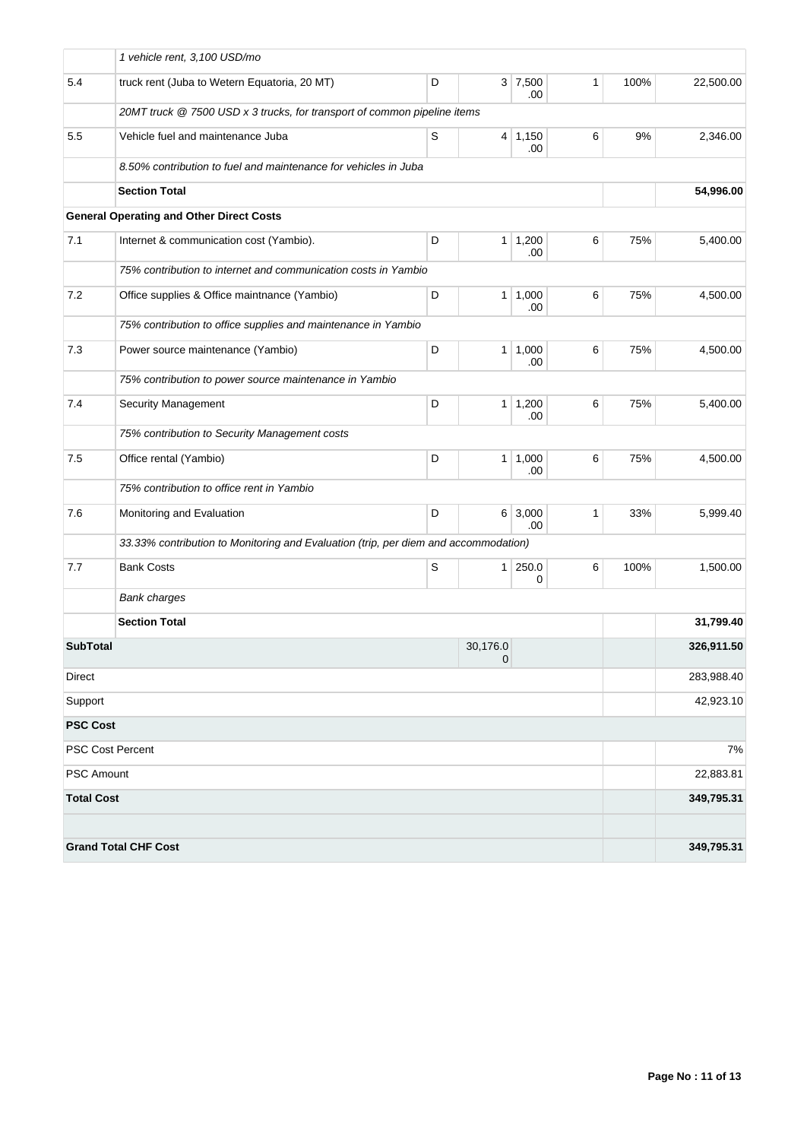|                   | 1 vehicle rent, 3,100 USD/mo                                                        |             |                          |                       |   |      |            |
|-------------------|-------------------------------------------------------------------------------------|-------------|--------------------------|-----------------------|---|------|------------|
| 5.4               | truck rent (Juba to Wetern Equatoria, 20 MT)                                        | D           |                          | $3 \mid 7,500$<br>.00 | 1 | 100% | 22,500.00  |
|                   | 20MT truck @ 7500 USD x 3 trucks, for transport of common pipeline items            |             |                          |                       |   |      |            |
| 5.5               | Vehicle fuel and maintenance Juba                                                   | $\mathsf S$ |                          | $4 \mid 1,150$<br>.00 | 6 | 9%   | 2,346.00   |
|                   | 8.50% contribution to fuel and maintenance for vehicles in Juba                     |             |                          |                       |   |      |            |
|                   | <b>Section Total</b>                                                                |             |                          |                       |   |      | 54,996.00  |
|                   | <b>General Operating and Other Direct Costs</b>                                     |             |                          |                       |   |      |            |
| 7.1               | Internet & communication cost (Yambio).                                             | D           | 1 <sup>1</sup>           | 1,200<br>.00          | 6 | 75%  | 5,400.00   |
|                   | 75% contribution to internet and communication costs in Yambio                      |             |                          |                       |   |      |            |
| 7.2               | Office supplies & Office maintnance (Yambio)                                        | D           |                          | $1 \mid 1,000$<br>.00 | 6 | 75%  | 4,500.00   |
|                   | 75% contribution to office supplies and maintenance in Yambio                       |             |                          |                       |   |      |            |
| 7.3               | Power source maintenance (Yambio)                                                   | D           |                          | $1 \mid 1,000$<br>.00 | 6 | 75%  | 4,500.00   |
|                   | 75% contribution to power source maintenance in Yambio                              |             |                          |                       |   |      |            |
| 7.4               | <b>Security Management</b>                                                          | D           | 1 <sup>1</sup>           | 1,200<br>.00          | 6 | 75%  | 5,400.00   |
|                   | 75% contribution to Security Management costs                                       |             |                          |                       |   |      |            |
| 7.5               | Office rental (Yambio)                                                              | D           |                          | $1 \mid 1,000$<br>.00 | 6 | 75%  | 4,500.00   |
|                   | 75% contribution to office rent in Yambio                                           |             |                          |                       |   |      |            |
| 7.6               | Monitoring and Evaluation                                                           | D           |                          | $6 \mid 3,000$<br>.00 | 1 | 33%  | 5,999.40   |
|                   | 33.33% contribution to Monitoring and Evaluation (trip, per diem and accommodation) |             |                          |                       |   |      |            |
| 7.7               | <b>Bank Costs</b>                                                                   | S           |                          | $1 \, 250.0$<br>0     | 6 | 100% | 1,500.00   |
|                   | <b>Bank charges</b>                                                                 |             |                          |                       |   |      |            |
|                   | <b>Section Total</b>                                                                |             |                          |                       |   |      | 31,799.40  |
| <b>SubTotal</b>   |                                                                                     |             | 30,176.0<br>$\mathbf{0}$ |                       |   |      | 326,911.50 |
| Direct            |                                                                                     |             |                          |                       |   |      | 283,988.40 |
| Support           |                                                                                     |             |                          |                       |   |      | 42,923.10  |
| <b>PSC Cost</b>   |                                                                                     |             |                          |                       |   |      |            |
|                   | <b>PSC Cost Percent</b>                                                             |             |                          |                       |   |      | 7%         |
| <b>PSC Amount</b> |                                                                                     |             |                          |                       |   |      | 22,883.81  |
| <b>Total Cost</b> |                                                                                     |             |                          |                       |   |      | 349,795.31 |
|                   | <b>Grand Total CHF Cost</b>                                                         |             |                          |                       |   |      | 349,795.31 |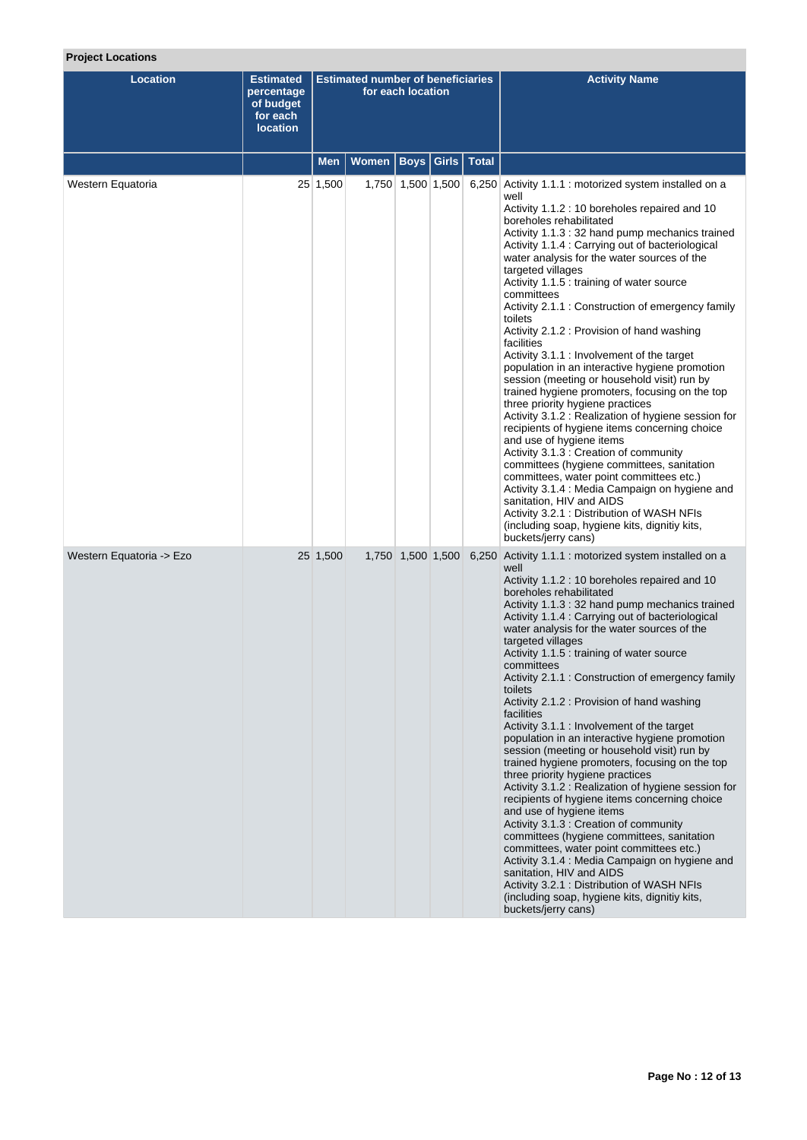# **Project Locations**

| <b>Location</b>          | <b>Estimated</b><br>percentage<br>of budget<br>for each<br><b>location</b> | <b>Estimated number of beneficiaries</b><br>for each location |                              |                   |  |  | <b>Activity Name</b>                                                                                                                                                                                                                                                                                                                                                                                                                                                                                                                                                                                                                                                                                                                                                                                                                                                                                                                                                                                                                                                                                                                                                                                                         |
|--------------------------|----------------------------------------------------------------------------|---------------------------------------------------------------|------------------------------|-------------------|--|--|------------------------------------------------------------------------------------------------------------------------------------------------------------------------------------------------------------------------------------------------------------------------------------------------------------------------------------------------------------------------------------------------------------------------------------------------------------------------------------------------------------------------------------------------------------------------------------------------------------------------------------------------------------------------------------------------------------------------------------------------------------------------------------------------------------------------------------------------------------------------------------------------------------------------------------------------------------------------------------------------------------------------------------------------------------------------------------------------------------------------------------------------------------------------------------------------------------------------------|
|                          |                                                                            | <b>Men</b>                                                    | Women   Boys   Girls   Total |                   |  |  |                                                                                                                                                                                                                                                                                                                                                                                                                                                                                                                                                                                                                                                                                                                                                                                                                                                                                                                                                                                                                                                                                                                                                                                                                              |
| Western Equatoria        |                                                                            | 25 1,500                                                      |                              | 1,750 1,500 1,500 |  |  | 6,250 Activity 1.1.1 : motorized system installed on a<br>well<br>Activity 1.1.2 : 10 boreholes repaired and 10<br>boreholes rehabilitated<br>Activity 1.1.3: 32 hand pump mechanics trained<br>Activity 1.1.4 : Carrying out of bacteriological<br>water analysis for the water sources of the<br>targeted villages<br>Activity 1.1.5 : training of water source<br>committees<br>Activity 2.1.1 : Construction of emergency family<br>toilets<br>Activity 2.1.2 : Provision of hand washing<br>facilities<br>Activity 3.1.1 : Involvement of the target<br>population in an interactive hygiene promotion<br>session (meeting or household visit) run by<br>trained hygiene promoters, focusing on the top<br>three priority hygiene practices<br>Activity 3.1.2 : Realization of hygiene session for<br>recipients of hygiene items concerning choice<br>and use of hygiene items<br>Activity 3.1.3 : Creation of community<br>committees (hygiene committees, sanitation<br>committees, water point committees etc.)<br>Activity 3.1.4 : Media Campaign on hygiene and<br>sanitation, HIV and AIDS<br>Activity 3.2.1 : Distribution of WASH NFIs<br>(including soap, hygiene kits, dignitiy kits,<br>buckets/jerry cans) |
| Western Equatoria -> Ezo |                                                                            | 25 1,500                                                      |                              | 1,750 1,500 1,500 |  |  | 6,250 Activity 1.1.1 : motorized system installed on a<br>well<br>Activity 1.1.2 : 10 boreholes repaired and 10<br>boreholes rehabilitated<br>Activity 1.1.3:32 hand pump mechanics trained<br>Activity 1.1.4 : Carrying out of bacteriological<br>water analysis for the water sources of the<br>targeted villages<br>Activity 1.1.5 : training of water source<br>committees<br>Activity 2.1.1 : Construction of emergency family<br>toilets<br>Activity 2.1.2 : Provision of hand washing<br>facilities<br>Activity 3.1.1 : Involvement of the target<br>population in an interactive hygiene promotion<br>session (meeting or household visit) run by<br>trained hygiene promoters, focusing on the top<br>three priority hygiene practices<br>Activity 3.1.2 : Realization of hygiene session for<br>recipients of hygiene items concerning choice<br>and use of hygiene items<br>Activity 3.1.3 : Creation of community<br>committees (hygiene committees, sanitation<br>committees, water point committees etc.)<br>Activity 3.1.4 : Media Campaign on hygiene and<br>sanitation, HIV and AIDS<br>Activity 3.2.1 : Distribution of WASH NFIs<br>(including soap, hygiene kits, dignitiy kits,<br>buckets/jerry cans)  |